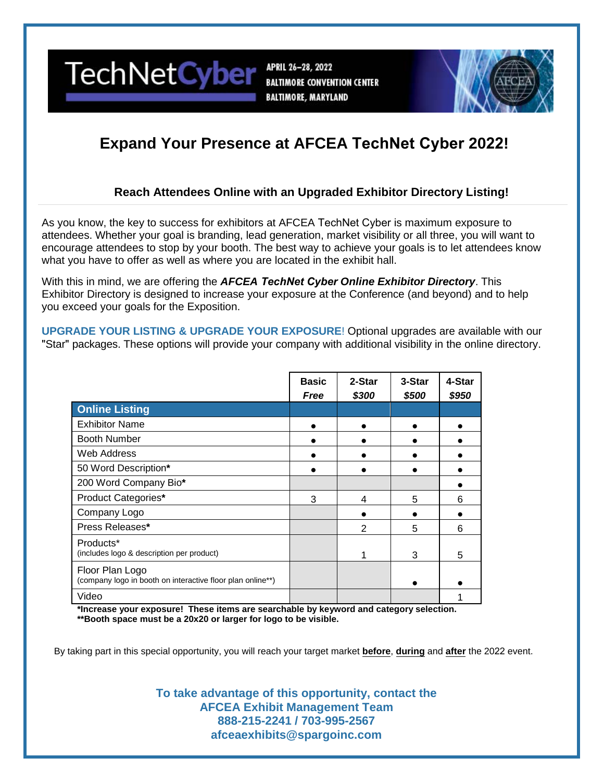

APRIL 26-28, 2022 **BALTIMORE CONVENTION CENTER BALTIMORE, MARYLAND** 



# **Expand Your Presence at AFCEA TechNet Cyber 2022!**

### **Reach Attendees Online with an Upgraded Exhibitor Directory Listing!**

As you know, the key to success for exhibitors at AFCEA TechNet Cyber is maximum exposure to attendees. Whether your goal is branding, lead generation, market visibility or all three, you will want to encourage attendees to stop by your booth. The best way to achieve your goals is to let attendees know what you have to offer as well as where you are located in the exhibit hall.

With this in mind, we are offering the *AFCEA TechNet Cyber Online Exhibitor Directory*. This Exhibitor Directory is designed to increase your exposure at the Conference (and beyond) and to help you exceed your goals for the Exposition.

**UPGRADE YOUR LISTING & UPGRADE YOUR EXPOSURE**! Optional upgrades are available with our "Star" packages. These options will provide your company with additional visibility in the online directory.

|                                                                               | <b>Basic</b><br>Free | 2-Star<br>\$300 | 3-Star<br>\$500 | 4-Star<br>\$950 |
|-------------------------------------------------------------------------------|----------------------|-----------------|-----------------|-----------------|
| <b>Online Listing</b>                                                         |                      |                 |                 |                 |
| <b>Exhibitor Name</b>                                                         |                      |                 |                 |                 |
| <b>Booth Number</b>                                                           |                      |                 |                 |                 |
| Web Address                                                                   |                      |                 |                 |                 |
| 50 Word Description*                                                          |                      |                 |                 |                 |
| 200 Word Company Bio*                                                         |                      |                 |                 |                 |
| Product Categories*                                                           | 3                    | 4               | 5               | 6               |
| Company Logo                                                                  |                      |                 |                 |                 |
| Press Releases*                                                               |                      | 2               | 5               | 6               |
| Products*<br>(includes logo & description per product)                        |                      |                 | 3               | 5               |
| Floor Plan Logo<br>(company logo in booth on interactive floor plan online**) |                      |                 |                 |                 |
| Video                                                                         |                      |                 |                 |                 |

**\*Increase your exposure! These items are searchable by keyword and category selection. \*\*Booth space must be a 20x20 or larger for logo to be visible.**

By taking part in this special opportunity, you will reach your target market **before**, **during** and **after** the 2022 event.

**To take advantage of this opportunity, contact the AFCEA Exhibit Management Team 888-215-2241 / 703-995-2567 afceaexhibits@spargoinc.com**